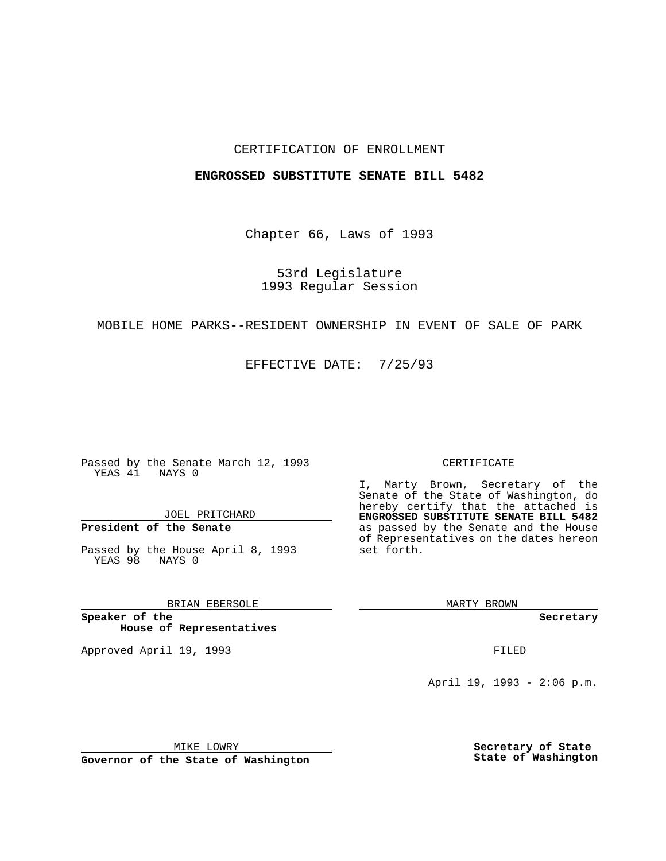### CERTIFICATION OF ENROLLMENT

#### **ENGROSSED SUBSTITUTE SENATE BILL 5482**

Chapter 66, Laws of 1993

53rd Legislature 1993 Regular Session

### MOBILE HOME PARKS--RESIDENT OWNERSHIP IN EVENT OF SALE OF PARK

EFFECTIVE DATE: 7/25/93

Passed by the Senate March 12, 1993 YEAS 41 NAYS 0

JOEL PRITCHARD

# **President of the Senate**

Passed by the House April 8, 1993 YEAS 98 NAYS 0

## BRIAN EBERSOLE

**Speaker of the House of Representatives**

Approved April 19, 1993 **FILED** 

#### CERTIFICATE

I, Marty Brown, Secretary of the Senate of the State of Washington, do hereby certify that the attached is **ENGROSSED SUBSTITUTE SENATE BILL 5482** as passed by the Senate and the House of Representatives on the dates hereon set forth.

MARTY BROWN

**Secretary**

April 19, 1993 - 2:06 p.m.

MIKE LOWRY

**Governor of the State of Washington**

**Secretary of State State of Washington**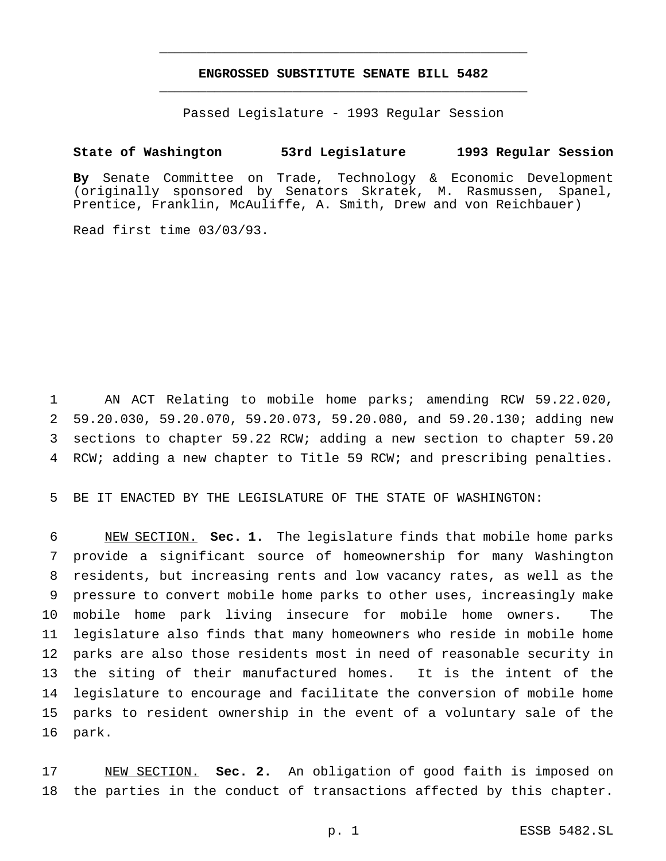# **ENGROSSED SUBSTITUTE SENATE BILL 5482** \_\_\_\_\_\_\_\_\_\_\_\_\_\_\_\_\_\_\_\_\_\_\_\_\_\_\_\_\_\_\_\_\_\_\_\_\_\_\_\_\_\_\_\_\_\_\_

\_\_\_\_\_\_\_\_\_\_\_\_\_\_\_\_\_\_\_\_\_\_\_\_\_\_\_\_\_\_\_\_\_\_\_\_\_\_\_\_\_\_\_\_\_\_\_

Passed Legislature - 1993 Regular Session

## **State of Washington 53rd Legislature 1993 Regular Session**

**By** Senate Committee on Trade, Technology & Economic Development (originally sponsored by Senators Skratek, M. Rasmussen, Spanel, Prentice, Franklin, McAuliffe, A. Smith, Drew and von Reichbauer)

Read first time 03/03/93.

 AN ACT Relating to mobile home parks; amending RCW 59.22.020, 59.20.030, 59.20.070, 59.20.073, 59.20.080, and 59.20.130; adding new sections to chapter 59.22 RCW; adding a new section to chapter 59.20 RCW; adding a new chapter to Title 59 RCW; and prescribing penalties.

BE IT ENACTED BY THE LEGISLATURE OF THE STATE OF WASHINGTON:

 NEW SECTION. **Sec. 1.** The legislature finds that mobile home parks provide a significant source of homeownership for many Washington residents, but increasing rents and low vacancy rates, as well as the pressure to convert mobile home parks to other uses, increasingly make mobile home park living insecure for mobile home owners. The legislature also finds that many homeowners who reside in mobile home parks are also those residents most in need of reasonable security in the siting of their manufactured homes. It is the intent of the legislature to encourage and facilitate the conversion of mobile home parks to resident ownership in the event of a voluntary sale of the park.

 NEW SECTION. **Sec. 2.** An obligation of good faith is imposed on the parties in the conduct of transactions affected by this chapter.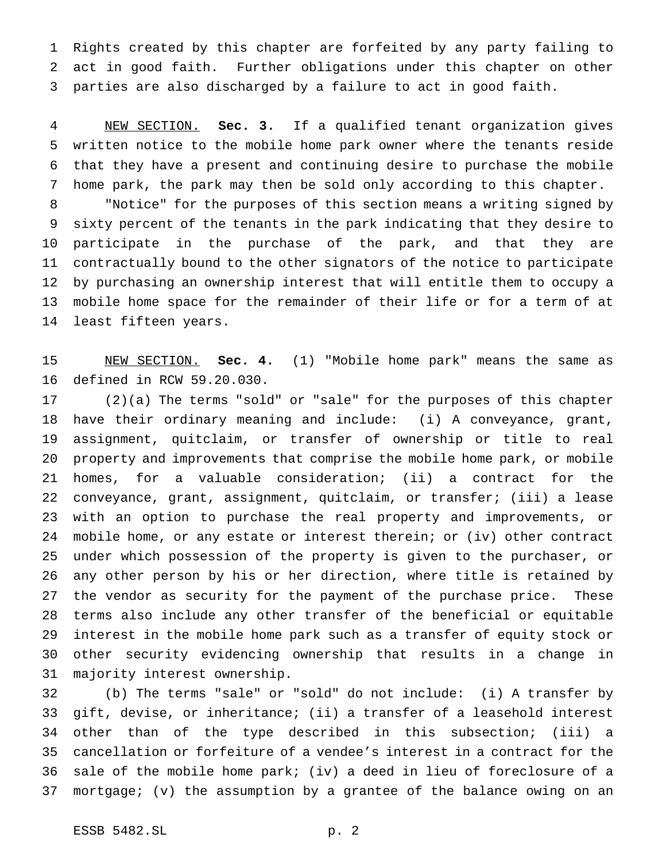Rights created by this chapter are forfeited by any party failing to act in good faith. Further obligations under this chapter on other parties are also discharged by a failure to act in good faith.

 NEW SECTION. **Sec. 3.** If a qualified tenant organization gives written notice to the mobile home park owner where the tenants reside that they have a present and continuing desire to purchase the mobile home park, the park may then be sold only according to this chapter. "Notice" for the purposes of this section means a writing signed by sixty percent of the tenants in the park indicating that they desire to participate in the purchase of the park, and that they are contractually bound to the other signators of the notice to participate by purchasing an ownership interest that will entitle them to occupy a mobile home space for the remainder of their life or for a term of at least fifteen years.

 NEW SECTION. **Sec. 4.** (1) "Mobile home park" means the same as defined in RCW 59.20.030.

 (2)(a) The terms "sold" or "sale" for the purposes of this chapter have their ordinary meaning and include: (i) A conveyance, grant, assignment, quitclaim, or transfer of ownership or title to real property and improvements that comprise the mobile home park, or mobile homes, for a valuable consideration; (ii) a contract for the conveyance, grant, assignment, quitclaim, or transfer; (iii) a lease with an option to purchase the real property and improvements, or mobile home, or any estate or interest therein; or (iv) other contract under which possession of the property is given to the purchaser, or any other person by his or her direction, where title is retained by the vendor as security for the payment of the purchase price. These terms also include any other transfer of the beneficial or equitable interest in the mobile home park such as a transfer of equity stock or other security evidencing ownership that results in a change in majority interest ownership.

 (b) The terms "sale" or "sold" do not include: (i) A transfer by gift, devise, or inheritance; (ii) a transfer of a leasehold interest other than of the type described in this subsection; (iii) a cancellation or forfeiture of a vendee's interest in a contract for the sale of the mobile home park; (iv) a deed in lieu of foreclosure of a mortgage; (v) the assumption by a grantee of the balance owing on an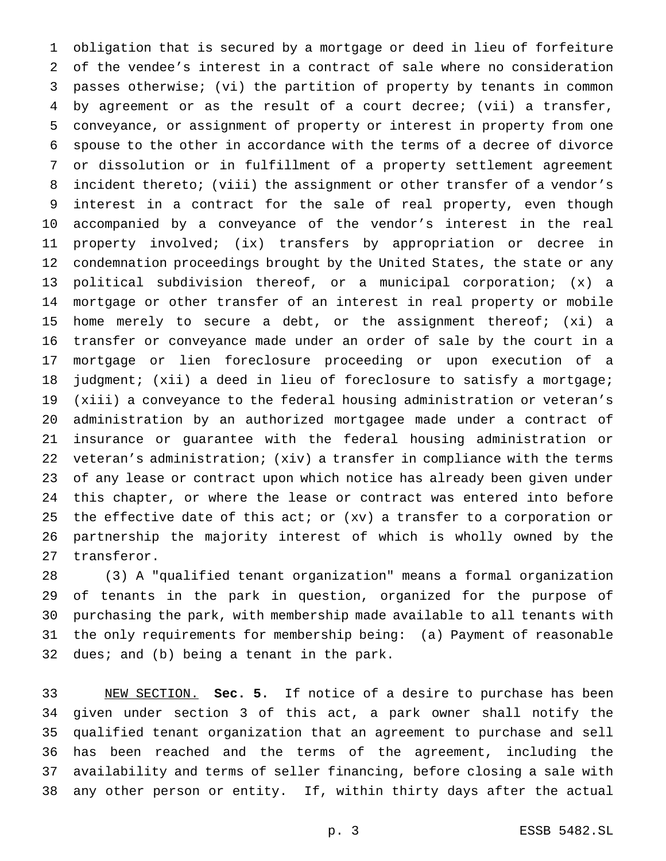obligation that is secured by a mortgage or deed in lieu of forfeiture of the vendee's interest in a contract of sale where no consideration passes otherwise; (vi) the partition of property by tenants in common by agreement or as the result of a court decree; (vii) a transfer, conveyance, or assignment of property or interest in property from one spouse to the other in accordance with the terms of a decree of divorce or dissolution or in fulfillment of a property settlement agreement incident thereto; (viii) the assignment or other transfer of a vendor's interest in a contract for the sale of real property, even though accompanied by a conveyance of the vendor's interest in the real property involved; (ix) transfers by appropriation or decree in condemnation proceedings brought by the United States, the state or any political subdivision thereof, or a municipal corporation; (x) a mortgage or other transfer of an interest in real property or mobile home merely to secure a debt, or the assignment thereof; (xi) a transfer or conveyance made under an order of sale by the court in a mortgage or lien foreclosure proceeding or upon execution of a 18 judgment; (xii) a deed in lieu of foreclosure to satisfy a mortgage; (xiii) a conveyance to the federal housing administration or veteran's administration by an authorized mortgagee made under a contract of insurance or guarantee with the federal housing administration or veteran's administration; (xiv) a transfer in compliance with the terms of any lease or contract upon which notice has already been given under this chapter, or where the lease or contract was entered into before the effective date of this act; or (xv) a transfer to a corporation or partnership the majority interest of which is wholly owned by the transferor.

 (3) A "qualified tenant organization" means a formal organization of tenants in the park in question, organized for the purpose of purchasing the park, with membership made available to all tenants with the only requirements for membership being: (a) Payment of reasonable dues; and (b) being a tenant in the park.

 NEW SECTION. **Sec. 5.** If notice of a desire to purchase has been given under section 3 of this act, a park owner shall notify the qualified tenant organization that an agreement to purchase and sell has been reached and the terms of the agreement, including the availability and terms of seller financing, before closing a sale with any other person or entity. If, within thirty days after the actual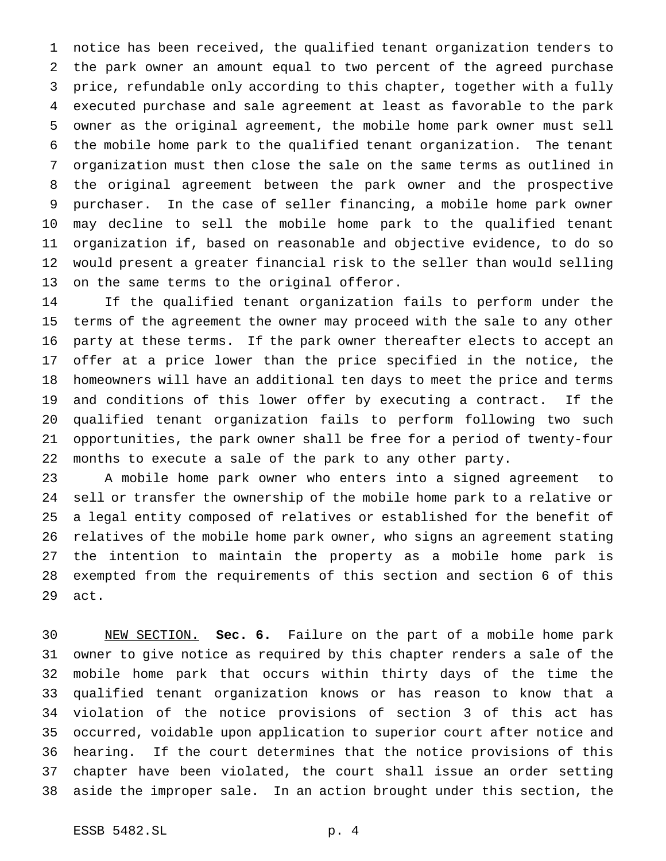notice has been received, the qualified tenant organization tenders to the park owner an amount equal to two percent of the agreed purchase price, refundable only according to this chapter, together with a fully executed purchase and sale agreement at least as favorable to the park owner as the original agreement, the mobile home park owner must sell the mobile home park to the qualified tenant organization. The tenant organization must then close the sale on the same terms as outlined in the original agreement between the park owner and the prospective purchaser. In the case of seller financing, a mobile home park owner may decline to sell the mobile home park to the qualified tenant organization if, based on reasonable and objective evidence, to do so would present a greater financial risk to the seller than would selling on the same terms to the original offeror.

 If the qualified tenant organization fails to perform under the terms of the agreement the owner may proceed with the sale to any other party at these terms. If the park owner thereafter elects to accept an offer at a price lower than the price specified in the notice, the homeowners will have an additional ten days to meet the price and terms and conditions of this lower offer by executing a contract. If the qualified tenant organization fails to perform following two such opportunities, the park owner shall be free for a period of twenty-four months to execute a sale of the park to any other party.

 A mobile home park owner who enters into a signed agreement to sell or transfer the ownership of the mobile home park to a relative or a legal entity composed of relatives or established for the benefit of relatives of the mobile home park owner, who signs an agreement stating the intention to maintain the property as a mobile home park is exempted from the requirements of this section and section 6 of this act.

 NEW SECTION. **Sec. 6.** Failure on the part of a mobile home park owner to give notice as required by this chapter renders a sale of the mobile home park that occurs within thirty days of the time the qualified tenant organization knows or has reason to know that a violation of the notice provisions of section 3 of this act has occurred, voidable upon application to superior court after notice and hearing. If the court determines that the notice provisions of this chapter have been violated, the court shall issue an order setting aside the improper sale. In an action brought under this section, the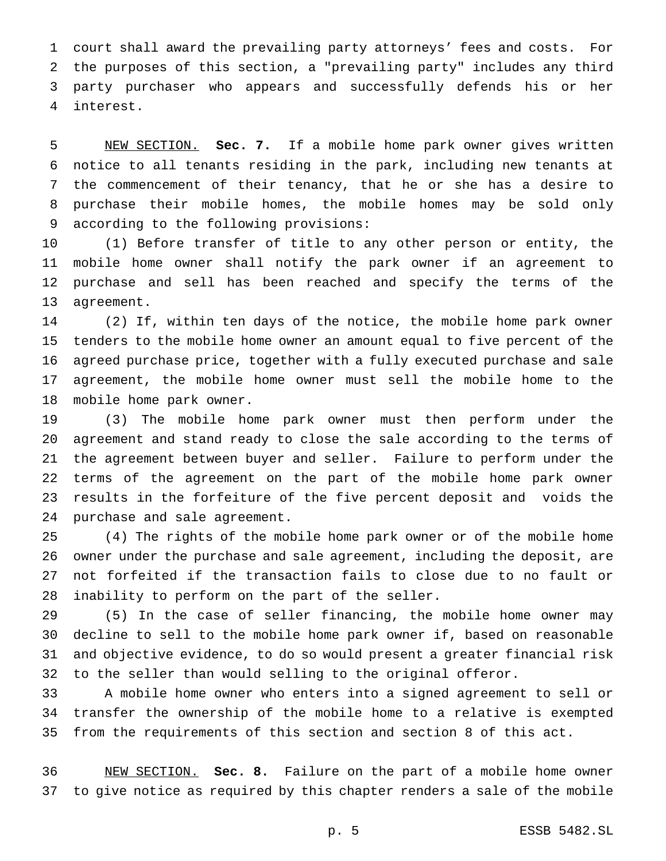court shall award the prevailing party attorneys' fees and costs. For the purposes of this section, a "prevailing party" includes any third party purchaser who appears and successfully defends his or her interest.

 NEW SECTION. **Sec. 7.** If a mobile home park owner gives written notice to all tenants residing in the park, including new tenants at the commencement of their tenancy, that he or she has a desire to purchase their mobile homes, the mobile homes may be sold only according to the following provisions:

 (1) Before transfer of title to any other person or entity, the mobile home owner shall notify the park owner if an agreement to purchase and sell has been reached and specify the terms of the agreement.

 (2) If, within ten days of the notice, the mobile home park owner tenders to the mobile home owner an amount equal to five percent of the agreed purchase price, together with a fully executed purchase and sale agreement, the mobile home owner must sell the mobile home to the mobile home park owner.

 (3) The mobile home park owner must then perform under the agreement and stand ready to close the sale according to the terms of the agreement between buyer and seller. Failure to perform under the terms of the agreement on the part of the mobile home park owner results in the forfeiture of the five percent deposit and voids the purchase and sale agreement.

 (4) The rights of the mobile home park owner or of the mobile home owner under the purchase and sale agreement, including the deposit, are not forfeited if the transaction fails to close due to no fault or inability to perform on the part of the seller.

 (5) In the case of seller financing, the mobile home owner may decline to sell to the mobile home park owner if, based on reasonable and objective evidence, to do so would present a greater financial risk to the seller than would selling to the original offeror.

 A mobile home owner who enters into a signed agreement to sell or transfer the ownership of the mobile home to a relative is exempted from the requirements of this section and section 8 of this act.

 NEW SECTION. **Sec. 8.** Failure on the part of a mobile home owner to give notice as required by this chapter renders a sale of the mobile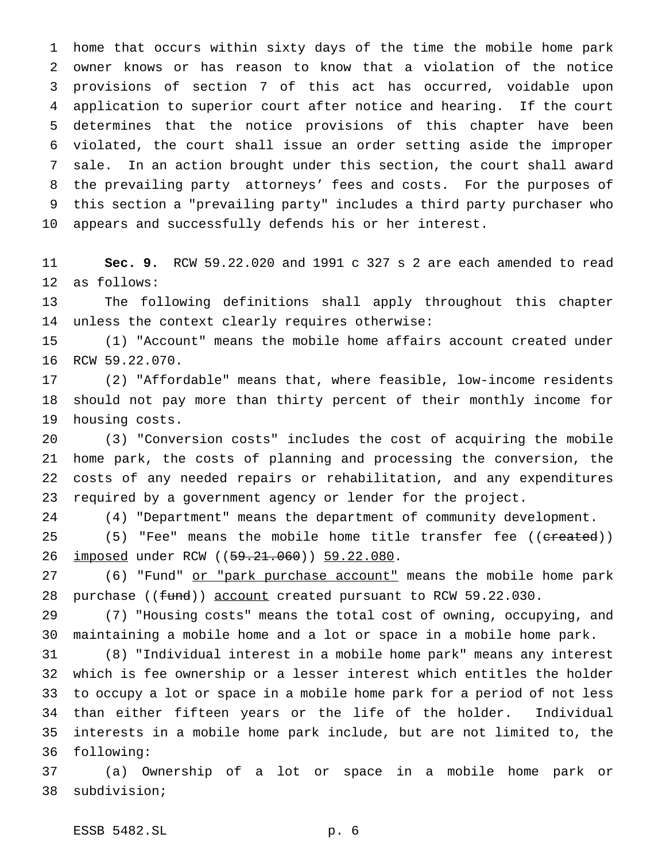home that occurs within sixty days of the time the mobile home park owner knows or has reason to know that a violation of the notice provisions of section 7 of this act has occurred, voidable upon application to superior court after notice and hearing. If the court determines that the notice provisions of this chapter have been violated, the court shall issue an order setting aside the improper sale. In an action brought under this section, the court shall award the prevailing party attorneys' fees and costs. For the purposes of this section a "prevailing party" includes a third party purchaser who appears and successfully defends his or her interest.

 **Sec. 9.** RCW 59.22.020 and 1991 c 327 s 2 are each amended to read as follows:

 The following definitions shall apply throughout this chapter unless the context clearly requires otherwise:

 (1) "Account" means the mobile home affairs account created under RCW 59.22.070.

 (2) "Affordable" means that, where feasible, low-income residents should not pay more than thirty percent of their monthly income for housing costs.

 (3) "Conversion costs" includes the cost of acquiring the mobile home park, the costs of planning and processing the conversion, the costs of any needed repairs or rehabilitation, and any expenditures required by a government agency or lender for the project.

(4) "Department" means the department of community development.

25 (5) "Fee" means the mobile home title transfer fee ((created)) 26 <u>imposed</u> under RCW ((<del>59.21.060</del>)) 59.22.080.

27 (6) "Fund" or "park purchase account" means the mobile home park 28 purchase ((fund)) account created pursuant to RCW 59.22.030.

 (7) "Housing costs" means the total cost of owning, occupying, and maintaining a mobile home and a lot or space in a mobile home park.

 (8) "Individual interest in a mobile home park" means any interest which is fee ownership or a lesser interest which entitles the holder to occupy a lot or space in a mobile home park for a period of not less than either fifteen years or the life of the holder. Individual interests in a mobile home park include, but are not limited to, the following:

 (a) Ownership of a lot or space in a mobile home park or subdivision;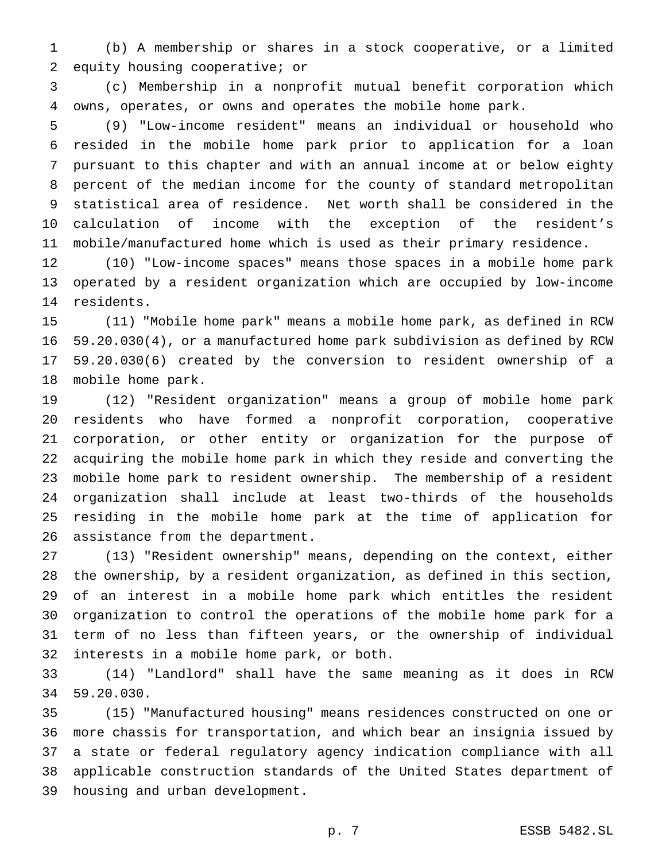(b) A membership or shares in a stock cooperative, or a limited equity housing cooperative; or

 (c) Membership in a nonprofit mutual benefit corporation which owns, operates, or owns and operates the mobile home park.

 (9) "Low-income resident" means an individual or household who resided in the mobile home park prior to application for a loan pursuant to this chapter and with an annual income at or below eighty percent of the median income for the county of standard metropolitan statistical area of residence. Net worth shall be considered in the calculation of income with the exception of the resident's mobile/manufactured home which is used as their primary residence.

 (10) "Low-income spaces" means those spaces in a mobile home park operated by a resident organization which are occupied by low-income residents.

 (11) "Mobile home park" means a mobile home park, as defined in RCW 59.20.030(4), or a manufactured home park subdivision as defined by RCW 59.20.030(6) created by the conversion to resident ownership of a mobile home park.

 (12) "Resident organization" means a group of mobile home park residents who have formed a nonprofit corporation, cooperative corporation, or other entity or organization for the purpose of acquiring the mobile home park in which they reside and converting the mobile home park to resident ownership. The membership of a resident organization shall include at least two-thirds of the households residing in the mobile home park at the time of application for assistance from the department.

 (13) "Resident ownership" means, depending on the context, either the ownership, by a resident organization, as defined in this section, of an interest in a mobile home park which entitles the resident organization to control the operations of the mobile home park for a term of no less than fifteen years, or the ownership of individual interests in a mobile home park, or both.

 (14) "Landlord" shall have the same meaning as it does in RCW 59.20.030.

 (15) "Manufactured housing" means residences constructed on one or more chassis for transportation, and which bear an insignia issued by a state or federal regulatory agency indication compliance with all applicable construction standards of the United States department of housing and urban development.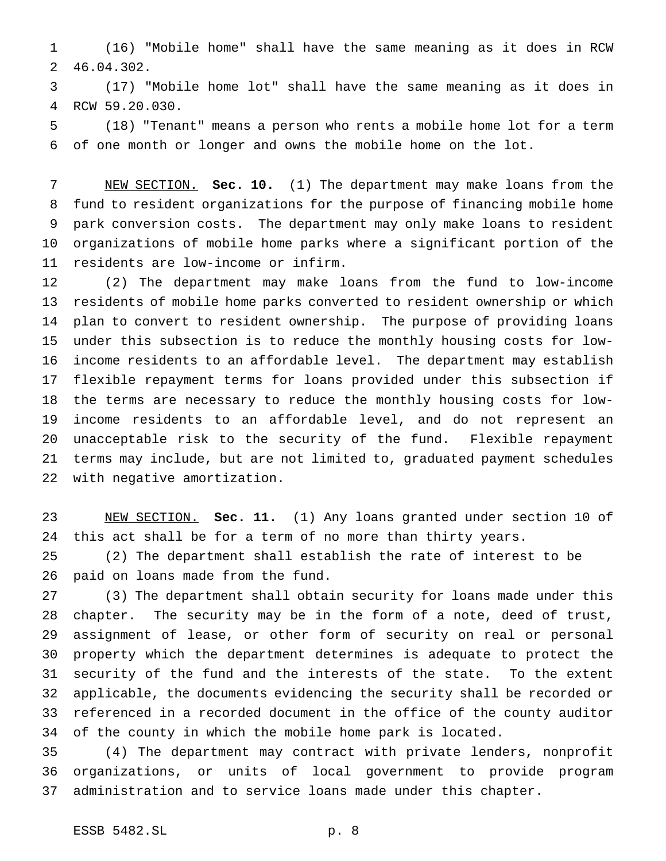(16) "Mobile home" shall have the same meaning as it does in RCW 46.04.302.

 (17) "Mobile home lot" shall have the same meaning as it does in RCW 59.20.030.

 (18) "Tenant" means a person who rents a mobile home lot for a term of one month or longer and owns the mobile home on the lot.

 NEW SECTION. **Sec. 10.** (1) The department may make loans from the fund to resident organizations for the purpose of financing mobile home park conversion costs. The department may only make loans to resident organizations of mobile home parks where a significant portion of the residents are low-income or infirm.

 (2) The department may make loans from the fund to low-income residents of mobile home parks converted to resident ownership or which plan to convert to resident ownership. The purpose of providing loans under this subsection is to reduce the monthly housing costs for low- income residents to an affordable level. The department may establish flexible repayment terms for loans provided under this subsection if the terms are necessary to reduce the monthly housing costs for low- income residents to an affordable level, and do not represent an unacceptable risk to the security of the fund. Flexible repayment terms may include, but are not limited to, graduated payment schedules with negative amortization.

 NEW SECTION. **Sec. 11.** (1) Any loans granted under section 10 of this act shall be for a term of no more than thirty years.

 (2) The department shall establish the rate of interest to be paid on loans made from the fund.

 (3) The department shall obtain security for loans made under this chapter. The security may be in the form of a note, deed of trust, assignment of lease, or other form of security on real or personal property which the department determines is adequate to protect the security of the fund and the interests of the state. To the extent applicable, the documents evidencing the security shall be recorded or referenced in a recorded document in the office of the county auditor of the county in which the mobile home park is located.

 (4) The department may contract with private lenders, nonprofit organizations, or units of local government to provide program administration and to service loans made under this chapter.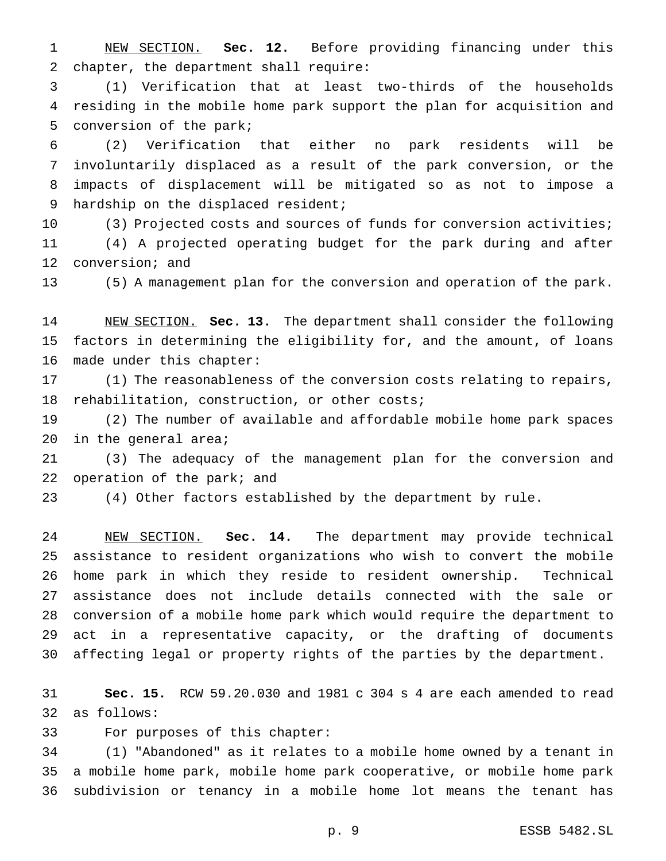NEW SECTION. **Sec. 12.** Before providing financing under this chapter, the department shall require:

 (1) Verification that at least two-thirds of the households residing in the mobile home park support the plan for acquisition and conversion of the park;

 (2) Verification that either no park residents will be involuntarily displaced as a result of the park conversion, or the impacts of displacement will be mitigated so as not to impose a 9 hardship on the displaced resident;

 (3) Projected costs and sources of funds for conversion activities; (4) A projected operating budget for the park during and after conversion; and

(5) A management plan for the conversion and operation of the park.

 NEW SECTION. **Sec. 13.** The department shall consider the following factors in determining the eligibility for, and the amount, of loans made under this chapter:

 (1) The reasonableness of the conversion costs relating to repairs, rehabilitation, construction, or other costs;

 (2) The number of available and affordable mobile home park spaces in the general area;

 (3) The adequacy of the management plan for the conversion and 22 operation of the park; and

(4) Other factors established by the department by rule.

 NEW SECTION. **Sec. 14.** The department may provide technical assistance to resident organizations who wish to convert the mobile home park in which they reside to resident ownership. Technical assistance does not include details connected with the sale or conversion of a mobile home park which would require the department to act in a representative capacity, or the drafting of documents affecting legal or property rights of the parties by the department.

 **Sec. 15.** RCW 59.20.030 and 1981 c 304 s 4 are each amended to read as follows:

For purposes of this chapter:

 (1) "Abandoned" as it relates to a mobile home owned by a tenant in a mobile home park, mobile home park cooperative, or mobile home park subdivision or tenancy in a mobile home lot means the tenant has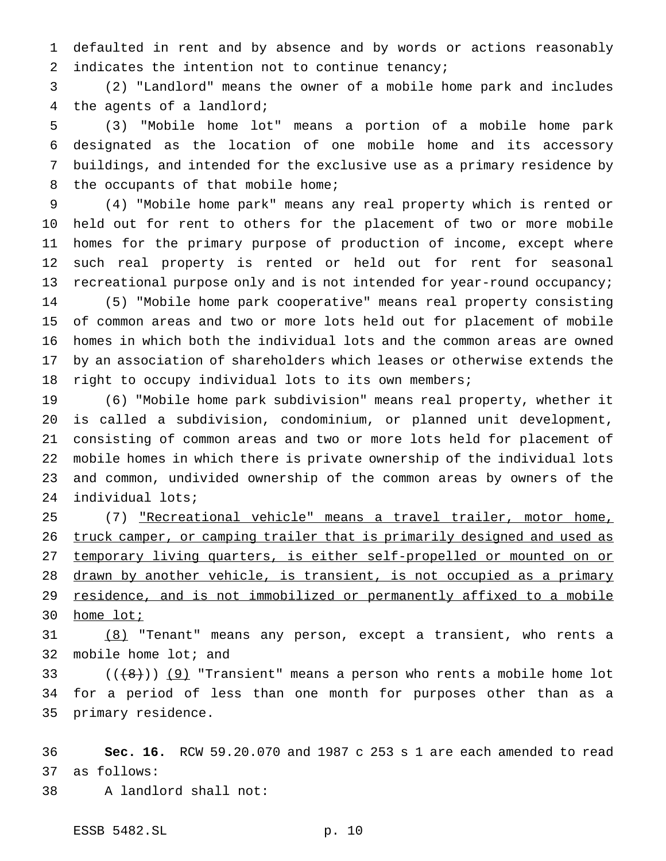defaulted in rent and by absence and by words or actions reasonably 2 indicates the intention not to continue tenancy;

 (2) "Landlord" means the owner of a mobile home park and includes the agents of a landlord;

 (3) "Mobile home lot" means a portion of a mobile home park designated as the location of one mobile home and its accessory buildings, and intended for the exclusive use as a primary residence by 8 the occupants of that mobile home;

 (4) "Mobile home park" means any real property which is rented or held out for rent to others for the placement of two or more mobile homes for the primary purpose of production of income, except where such real property is rented or held out for rent for seasonal 13 recreational purpose only and is not intended for year-round occupancy; (5) "Mobile home park cooperative" means real property consisting of common areas and two or more lots held out for placement of mobile homes in which both the individual lots and the common areas are owned by an association of shareholders which leases or otherwise extends the right to occupy individual lots to its own members;

 (6) "Mobile home park subdivision" means real property, whether it is called a subdivision, condominium, or planned unit development, consisting of common areas and two or more lots held for placement of mobile homes in which there is private ownership of the individual lots and common, undivided ownership of the common areas by owners of the individual lots;

 (7) "Recreational vehicle" means a travel trailer, motor home, 26 truck camper, or camping trailer that is primarily designed and used as 27 temporary living quarters, is either self-propelled or mounted on or 28 drawn by another vehicle, is transient, is not occupied as a primary 29 residence, and is not immobilized or permanently affixed to a mobile home lot;

 (8) "Tenant" means any person, except a transient, who rents a mobile home lot; and

33  $((+8))$  (9) "Transient" means a person who rents a mobile home lot for a period of less than one month for purposes other than as a primary residence.

 **Sec. 16.** RCW 59.20.070 and 1987 c 253 s 1 are each amended to read as follows:

A landlord shall not:

ESSB 5482.SL p. 10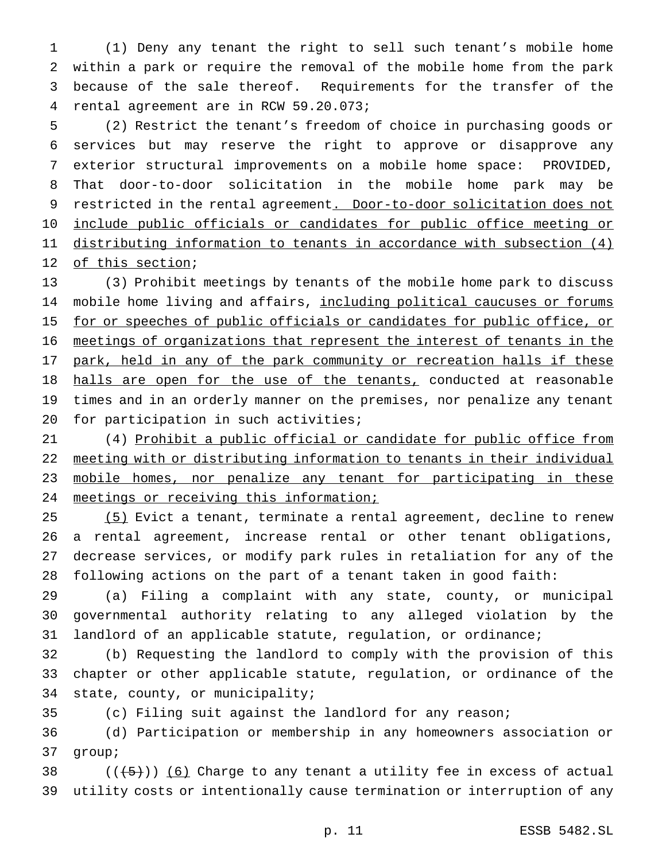(1) Deny any tenant the right to sell such tenant's mobile home within a park or require the removal of the mobile home from the park because of the sale thereof. Requirements for the transfer of the rental agreement are in RCW 59.20.073;

 (2) Restrict the tenant's freedom of choice in purchasing goods or services but may reserve the right to approve or disapprove any exterior structural improvements on a mobile home space: PROVIDED, That door-to-door solicitation in the mobile home park may be 9 restricted in the rental agreement. Door-to-door solicitation does not include public officials or candidates for public office meeting or distributing information to tenants in accordance with subsection (4) 12 of this section;

 (3) Prohibit meetings by tenants of the mobile home park to discuss 14 mobile home living and affairs, including political caucuses or forums 15 for or speeches of public officials or candidates for public office, or meetings of organizations that represent the interest of tenants in the 17 park, held in any of the park community or recreation halls if these 18 halls are open for the use of the tenants, conducted at reasonable times and in an orderly manner on the premises, nor penalize any tenant 20 for participation in such activities;

 (4) Prohibit a public official or candidate for public office from meeting with or distributing information to tenants in their individual mobile homes, nor penalize any tenant for participating in these meetings or receiving this information;

 (5) Evict a tenant, terminate a rental agreement, decline to renew a rental agreement, increase rental or other tenant obligations, decrease services, or modify park rules in retaliation for any of the following actions on the part of a tenant taken in good faith:

 (a) Filing a complaint with any state, county, or municipal governmental authority relating to any alleged violation by the landlord of an applicable statute, regulation, or ordinance;

 (b) Requesting the landlord to comply with the provision of this chapter or other applicable statute, regulation, or ordinance of the state, county, or municipality;

(c) Filing suit against the landlord for any reason;

 (d) Participation or membership in any homeowners association or group;

38  $((+5))$   $(6)$  Charge to any tenant a utility fee in excess of actual utility costs or intentionally cause termination or interruption of any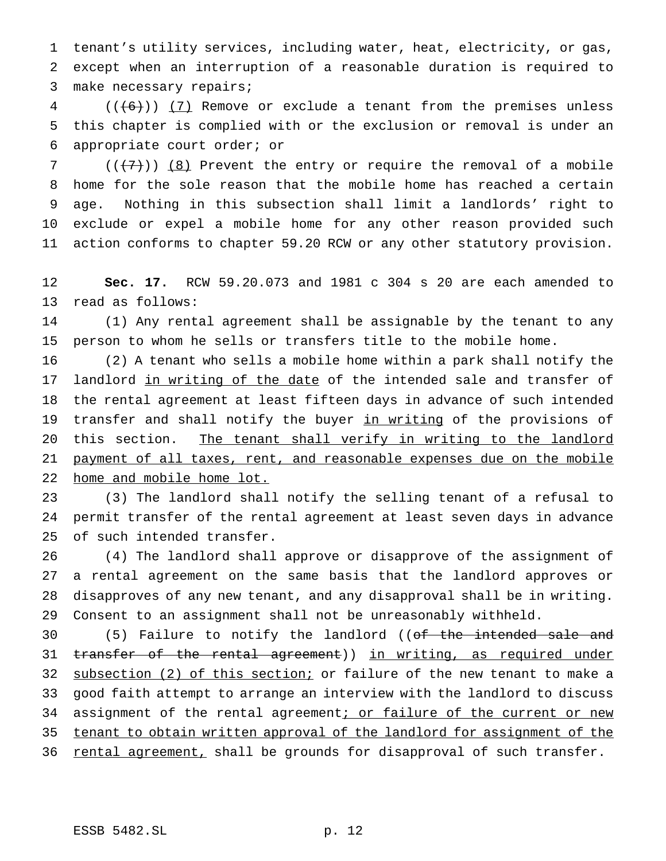tenant's utility services, including water, heat, electricity, or gas, except when an interruption of a reasonable duration is required to make necessary repairs;

 (( $(6)$ )) (7) Remove or exclude a tenant from the premises unless this chapter is complied with or the exclusion or removal is under an appropriate court order; or

7 ( $(\overline{\{7\}})$ ) (8) Prevent the entry or require the removal of a mobile home for the sole reason that the mobile home has reached a certain age. Nothing in this subsection shall limit a landlords' right to exclude or expel a mobile home for any other reason provided such action conforms to chapter 59.20 RCW or any other statutory provision.

 **Sec. 17.** RCW 59.20.073 and 1981 c 304 s 20 are each amended to read as follows:

 (1) Any rental agreement shall be assignable by the tenant to any person to whom he sells or transfers title to the mobile home.

 (2) A tenant who sells a mobile home within a park shall notify the 17 landlord in writing of the date of the intended sale and transfer of the rental agreement at least fifteen days in advance of such intended 19 transfer and shall notify the buyer in writing of the provisions of 20 this section. The tenant shall verify in writing to the landlord 21 payment of all taxes, rent, and reasonable expenses due on the mobile 22 home and mobile home lot.

 (3) The landlord shall notify the selling tenant of a refusal to permit transfer of the rental agreement at least seven days in advance of such intended transfer.

 (4) The landlord shall approve or disapprove of the assignment of a rental agreement on the same basis that the landlord approves or disapproves of any new tenant, and any disapproval shall be in writing. Consent to an assignment shall not be unreasonably withheld.

30 (5) Failure to notify the landlord ((of the intended sale and 31 transfer of the rental agreement)) in writing, as required under 32 subsection (2) of this section; or failure of the new tenant to make a good faith attempt to arrange an interview with the landlord to discuss 34 assignment of the rental agreement; or failure of the current or new tenant to obtain written approval of the landlord for assignment of the 36 rental agreement, shall be grounds for disapproval of such transfer.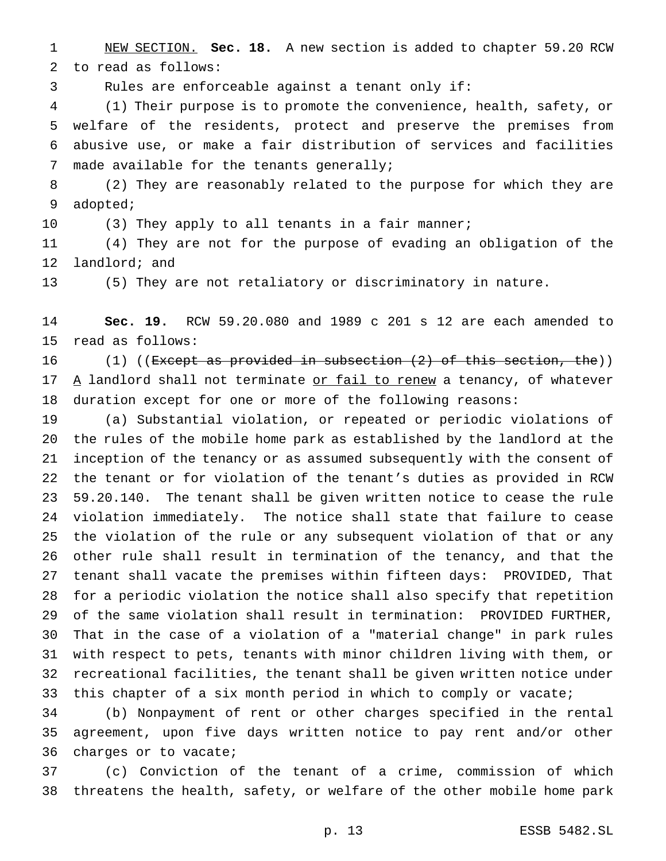NEW SECTION. **Sec. 18.** A new section is added to chapter 59.20 RCW to read as follows:

Rules are enforceable against a tenant only if:

 (1) Their purpose is to promote the convenience, health, safety, or welfare of the residents, protect and preserve the premises from abusive use, or make a fair distribution of services and facilities made available for the tenants generally;

 (2) They are reasonably related to the purpose for which they are adopted;

10 (3) They apply to all tenants in a fair manner;

 (4) They are not for the purpose of evading an obligation of the landlord; and

(5) They are not retaliatory or discriminatory in nature.

 **Sec. 19.** RCW 59.20.080 and 1989 c 201 s 12 are each amended to read as follows:

16 (1) ((<del>Except as provided in subsection (2) of this section, the</del>)) 17  $\Delta$  landlord shall not terminate or fail to renew a tenancy, of whatever duration except for one or more of the following reasons:

 (a) Substantial violation, or repeated or periodic violations of the rules of the mobile home park as established by the landlord at the inception of the tenancy or as assumed subsequently with the consent of the tenant or for violation of the tenant's duties as provided in RCW 59.20.140. The tenant shall be given written notice to cease the rule violation immediately. The notice shall state that failure to cease the violation of the rule or any subsequent violation of that or any other rule shall result in termination of the tenancy, and that the tenant shall vacate the premises within fifteen days: PROVIDED, That for a periodic violation the notice shall also specify that repetition of the same violation shall result in termination: PROVIDED FURTHER, That in the case of a violation of a "material change" in park rules with respect to pets, tenants with minor children living with them, or recreational facilities, the tenant shall be given written notice under 33 this chapter of a six month period in which to comply or vacate;

 (b) Nonpayment of rent or other charges specified in the rental agreement, upon five days written notice to pay rent and/or other charges or to vacate;

 (c) Conviction of the tenant of a crime, commission of which threatens the health, safety, or welfare of the other mobile home park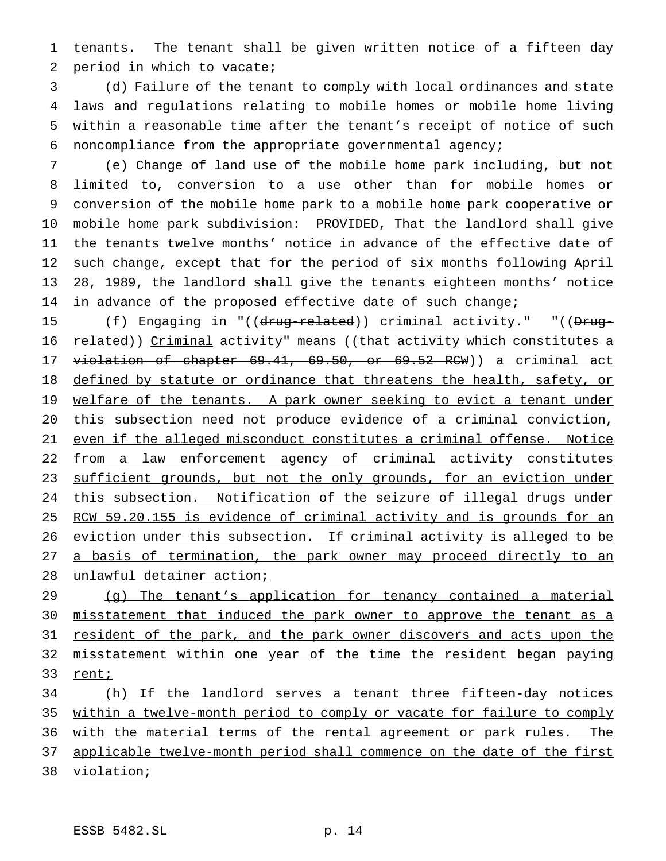tenants. The tenant shall be given written notice of a fifteen day period in which to vacate;

 (d) Failure of the tenant to comply with local ordinances and state laws and regulations relating to mobile homes or mobile home living within a reasonable time after the tenant's receipt of notice of such noncompliance from the appropriate governmental agency;

 (e) Change of land use of the mobile home park including, but not limited to, conversion to a use other than for mobile homes or conversion of the mobile home park to a mobile home park cooperative or mobile home park subdivision: PROVIDED, That the landlord shall give the tenants twelve months' notice in advance of the effective date of such change, except that for the period of six months following April 28, 1989, the landlord shall give the tenants eighteen months' notice in advance of the proposed effective date of such change;

15 (f) Engaging in "((drug-related)) criminal activity." "((Drug-16 related)) Criminal activity" means ((that activity which constitutes a violation of chapter 69.41, 69.50, or 69.52 RCW)) a criminal act 18 defined by statute or ordinance that threatens the health, safety, or 19 welfare of the tenants. A park owner seeking to evict a tenant under this subsection need not produce evidence of a criminal conviction, even if the alleged misconduct constitutes a criminal offense. Notice from a law enforcement agency of criminal activity constitutes 23 sufficient grounds, but not the only grounds, for an eviction under this subsection. Notification of the seizure of illegal drugs under 25 RCW 59.20.155 is evidence of criminal activity and is grounds for an eviction under this subsection. If criminal activity is alleged to be 27 a basis of termination, the park owner may proceed directly to an unlawful detainer action;

 (g) The tenant's application for tenancy contained a material misstatement that induced the park owner to approve the tenant as a 31 resident of the park, and the park owner discovers and acts upon the misstatement within one year of the time the resident began paying 33 renti

 (h) If the landlord serves a tenant three fifteen-day notices within a twelve-month period to comply or vacate for failure to comply 36 with the material terms of the rental agreement or park rules. The 37 applicable twelve-month period shall commence on the date of the first violation;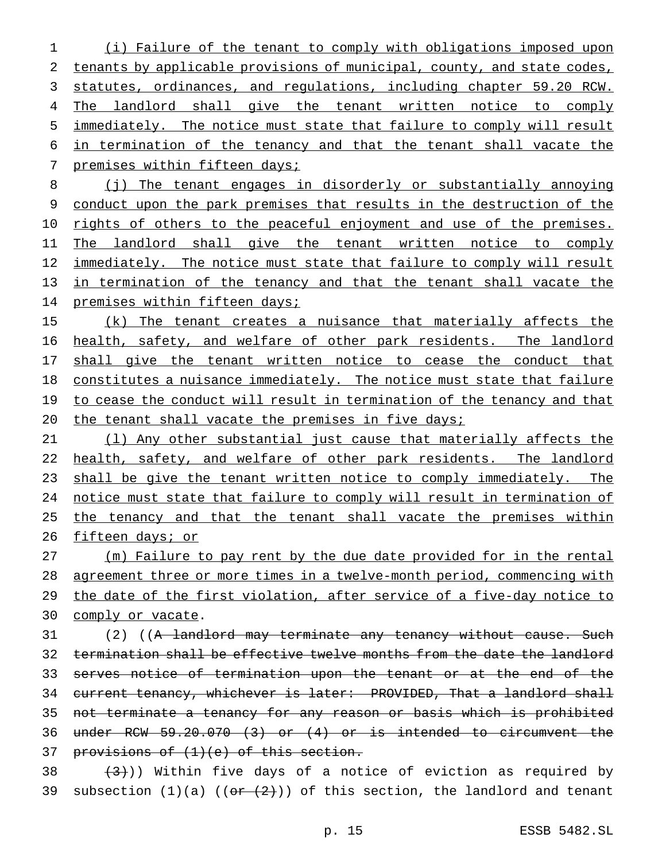1 (i) Failure of the tenant to comply with obligations imposed upon 2 tenants by applicable provisions of municipal, county, and state codes, 3 statutes, ordinances, and regulations, including chapter 59.20 RCW. 4 The landlord shall give the tenant written notice to comply 5 immediately. The notice must state that failure to comply will result 6 in termination of the tenancy and that the tenant shall vacate the 7 premises within fifteen days;

8 (j) The tenant engages in disorderly or substantially annoying 9 conduct upon the park premises that results in the destruction of the 10 rights of others to the peaceful enjoyment and use of the premises. 11 The landlord shall give the tenant written notice to comply 12 immediately. The notice must state that failure to comply will result 13 in termination of the tenancy and that the tenant shall vacate the 14 premises within fifteen days;

15 (k) The tenant creates a nuisance that materially affects the 16 health, safety, and welfare of other park residents. The landlord 17 shall give the tenant written notice to cease the conduct that 18 constitutes a nuisance immediately. The notice must state that failure 19 to cease the conduct will result in termination of the tenancy and that 20 the tenant shall vacate the premises in five days;

21 (l) Any other substantial just cause that materially affects the 22 health, safety, and welfare of other park residents. The landlord 23 shall be give the tenant written notice to comply immediately. The 24 notice must state that failure to comply will result in termination of 25 the tenancy and that the tenant shall vacate the premises within 26 fifteen days; or

 (m) Failure to pay rent by the due date provided for in the rental agreement three or more times in a twelve-month period, commencing with the date of the first violation, after service of a five-day notice to comply or vacate.

31 (2) ((<del>A landlord may terminate any tenancy without cause. Such</del> 32 termination shall be effective twelve months from the date the landlord 33 serves notice of termination upon the tenant or at the end of the 34 current tenancy, whichever is later: PROVIDED, That a landlord shall 35 not terminate a tenancy for any reason or basis which is prohibited 36 under RCW 59.20.070 (3) or (4) or is intended to circumvent the 37 provisions of  $(1)(e)$  of this section.

38  $(3)$ )) Within five days of a notice of eviction as required by 39 subsection  $(1)(a)$   $((o + 2))$  of this section, the landlord and tenant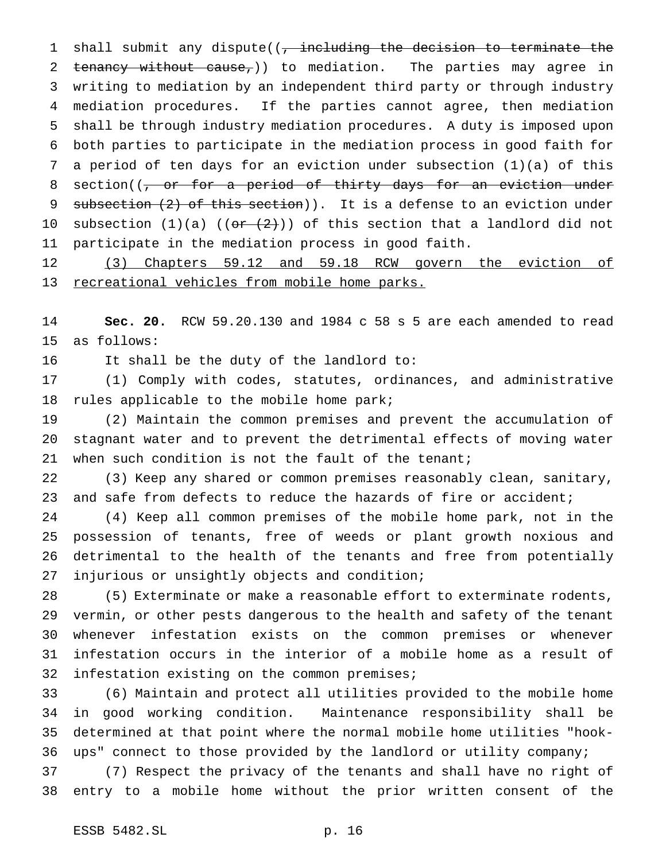1 shall submit any dispute((, including the decision to terminate the 2 tenancy without cause, ) to mediation. The parties may agree in writing to mediation by an independent third party or through industry mediation procedures. If the parties cannot agree, then mediation shall be through industry mediation procedures. A duty is imposed upon both parties to participate in the mediation process in good faith for a period of ten days for an eviction under subsection (1)(a) of this 8 section((, or for a period of thirty days for an eviction under 9 subsection (2) of this section)). It is a defense to an eviction under 10 subsection  $(1)(a)$   $((o + (2))$  of this section that a landlord did not participate in the mediation process in good faith.

 (3) Chapters 59.12 and 59.18 RCW govern the eviction of recreational vehicles from mobile home parks.

 **Sec. 20.** RCW 59.20.130 and 1984 c 58 s 5 are each amended to read as follows:

It shall be the duty of the landlord to:

 (1) Comply with codes, statutes, ordinances, and administrative rules applicable to the mobile home park;

 (2) Maintain the common premises and prevent the accumulation of stagnant water and to prevent the detrimental effects of moving water 21 when such condition is not the fault of the tenant;

 (3) Keep any shared or common premises reasonably clean, sanitary, and safe from defects to reduce the hazards of fire or accident;

 (4) Keep all common premises of the mobile home park, not in the possession of tenants, free of weeds or plant growth noxious and detrimental to the health of the tenants and free from potentially injurious or unsightly objects and condition;

 (5) Exterminate or make a reasonable effort to exterminate rodents, vermin, or other pests dangerous to the health and safety of the tenant whenever infestation exists on the common premises or whenever infestation occurs in the interior of a mobile home as a result of infestation existing on the common premises;

 (6) Maintain and protect all utilities provided to the mobile home in good working condition. Maintenance responsibility shall be determined at that point where the normal mobile home utilities "hook-ups" connect to those provided by the landlord or utility company;

 (7) Respect the privacy of the tenants and shall have no right of entry to a mobile home without the prior written consent of the